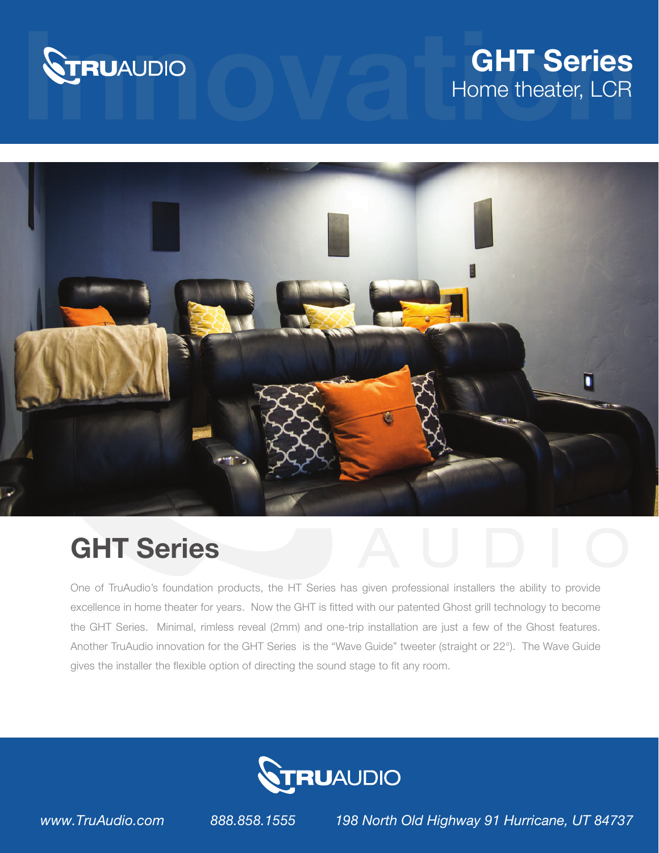

## **STRUAUDIO**<br>Home theater, LCR<br>Home theater, LCR Home theater, LCR



## GHT Series

One of TruAudio's foundation products, the HT Series has given professional installers the ability to provide excellence in home theater for years. Now the GHT is fitted with our patented Ghost grill technology to become the GHT Series. Minimal, rimless reveal (2mm) and one-trip installation are just a few of the Ghost features. Another TruAudio innovation for the GHT Series is the "Wave Guide" tweeter (straight or 22°). The Wave Guide gives the installer the flexible option of directing the sound stage to fit any room.



*www.TruAudio.com 888.858.1555 198 North Old Highway 91 Hurricane, UT 84737*